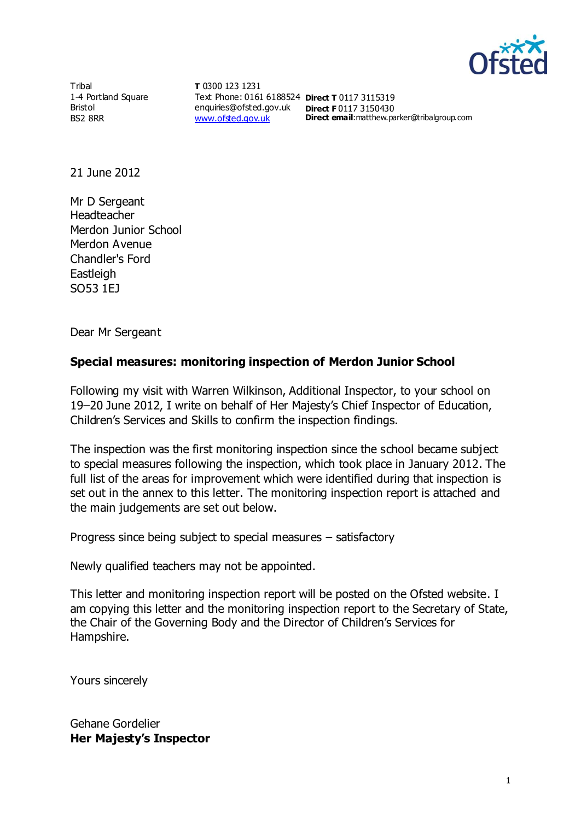

**Tribal** 1-4 Portland Square Bristol BS2 8RR

**T** 0300 123 1231 Text Phone: 0161 6188524 **Direct T** 0117 3115319 enquiries@ofsted.gov.uk **Direct F** 0117 3150430 [www.ofsted.gov.uk](http://www.ofsted.gov.uk/)

**Direct email**:matthew.parker@tribalgroup.com

21 June 2012

Mr D Sergeant Headteacher Merdon Junior School Merdon Avenue Chandler's Ford **Eastleigh** SO53 1EJ

Dear Mr Sergeant

## **Special measures: monitoring inspection of Merdon Junior School**

Following my visit with Warren Wilkinson, Additional Inspector, to your school on 19–20 June 2012, I write on behalf of Her Majesty's Chief Inspector of Education, Children's Services and Skills to confirm the inspection findings.

The inspection was the first monitoring inspection since the school became subject to special measures following the inspection, which took place in January 2012. The full list of the areas for improvement which were identified during that inspection is set out in the annex to this letter. The monitoring inspection report is attached and the main judgements are set out below.

Progress since being subject to special measures – satisfactory

Newly qualified teachers may not be appointed.

This letter and monitoring inspection report will be posted on the Ofsted website. I am copying this letter and the monitoring inspection report to the Secretary of State, the Chair of the Governing Body and the Director of Children's Services for Hampshire.

Yours sincerely

Gehane Gordelier **Her Majesty's Inspector**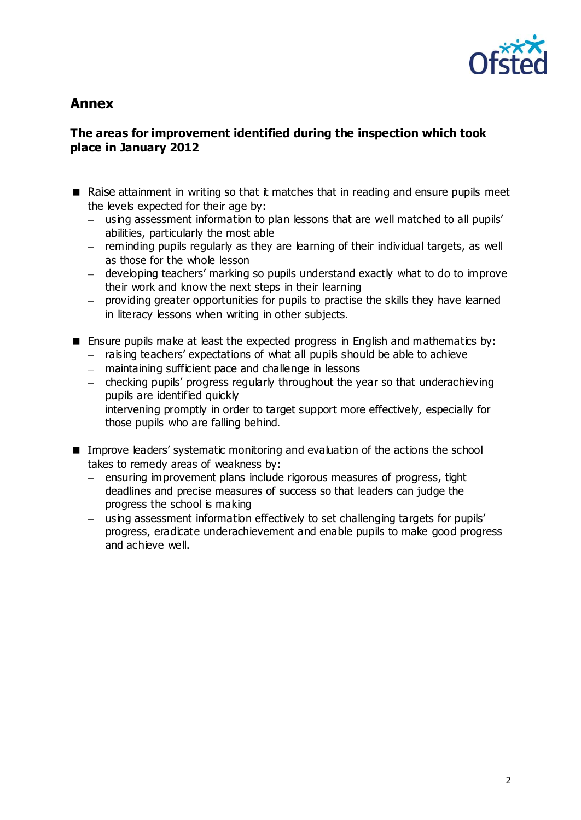

# **Annex**

#### **The areas for improvement identified during the inspection which took place in January 2012**

- Raise attainment in writing so that it matches that in reading and ensure pupils meet the levels expected for their age by:
	- using assessment information to plan lessons that are well matched to all pupils' abilities, particularly the most able
	- $-$  reminding pupils regularly as they are learning of their individual targets, as well as those for the whole lesson
	- developing teachers' marking so pupils understand exactly what to do to improve their work and know the next steps in their learning
	- providing greater opportunities for pupils to practise the skills they have learned in literacy lessons when writing in other subjects.
- **E** Ensure pupils make at least the expected progress in English and mathematics by:
	- $-$  raising teachers' expectations of what all pupils should be able to achieve
	- maintaining sufficient pace and challenge in lessons
	- $-$  checking pupils' progress regularly throughout the year so that underachieving pupils are identified quickly
	- intervening promptly in order to target support more effectively, especially for those pupils who are falling behind.
- Improve leaders' systematic monitoring and evaluation of the actions the school takes to remedy areas of weakness by:
	- ensuring improvement plans include rigorous measures of progress, tight deadlines and precise measures of success so that leaders can judge the progress the school is making
	- using assessment information effectively to set challenging targets for pupils' progress, eradicate underachievement and enable pupils to make good progress and achieve well.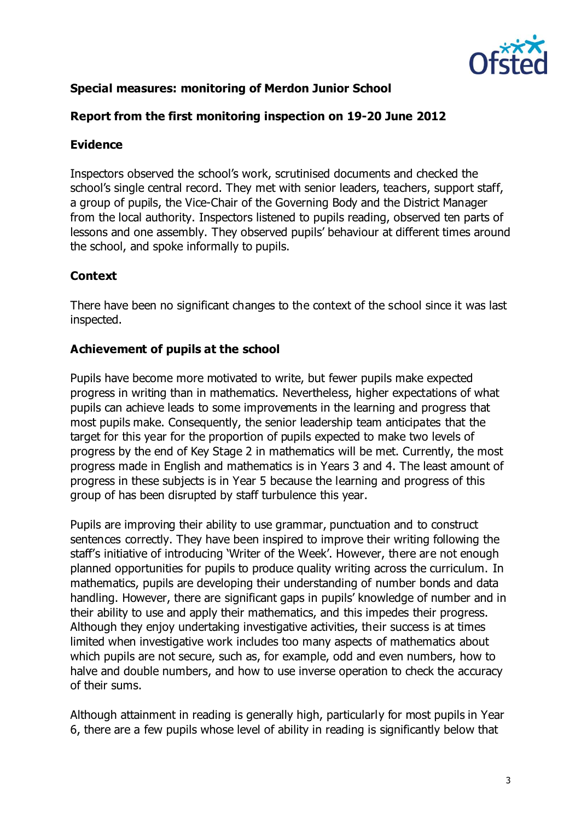

# **Special measures: monitoring of Merdon Junior School**

## **Report from the first monitoring inspection on 19-20 June 2012**

#### **Evidence**

Inspectors observed the school's work, scrutinised documents and checked the school's single central record. They met with senior leaders, teachers, support staff, a group of pupils, the Vice-Chair of the Governing Body and the District Manager from the local authority. Inspectors listened to pupils reading, observed ten parts of lessons and one assembly. They observed pupils' behaviour at different times around the school, and spoke informally to pupils.

## **Context**

There have been no significant changes to the context of the school since it was last inspected.

## **Achievement of pupils at the school**

Pupils have become more motivated to write, but fewer pupils make expected progress in writing than in mathematics. Nevertheless, higher expectations of what pupils can achieve leads to some improvements in the learning and progress that most pupils make. Consequently, the senior leadership team anticipates that the target for this year for the proportion of pupils expected to make two levels of progress by the end of Key Stage 2 in mathematics will be met. Currently, the most progress made in English and mathematics is in Years 3 and 4. The least amount of progress in these subjects is in Year 5 because the learning and progress of this group of has been disrupted by staff turbulence this year.

Pupils are improving their ability to use grammar, punctuation and to construct sentences correctly. They have been inspired to improve their writing following the staff's initiative of introducing 'Writer of the Week'. However, there are not enough planned opportunities for pupils to produce quality writing across the curriculum. In mathematics, pupils are developing their understanding of number bonds and data handling. However, there are significant gaps in pupils' knowledge of number and in their ability to use and apply their mathematics, and this impedes their progress. Although they enjoy undertaking investigative activities, their success is at times limited when investigative work includes too many aspects of mathematics about which pupils are not secure, such as, for example, odd and even numbers, how to halve and double numbers, and how to use inverse operation to check the accuracy of their sums.

Although attainment in reading is generally high, particularly for most pupils in Year 6, there are a few pupils whose level of ability in reading is significantly below that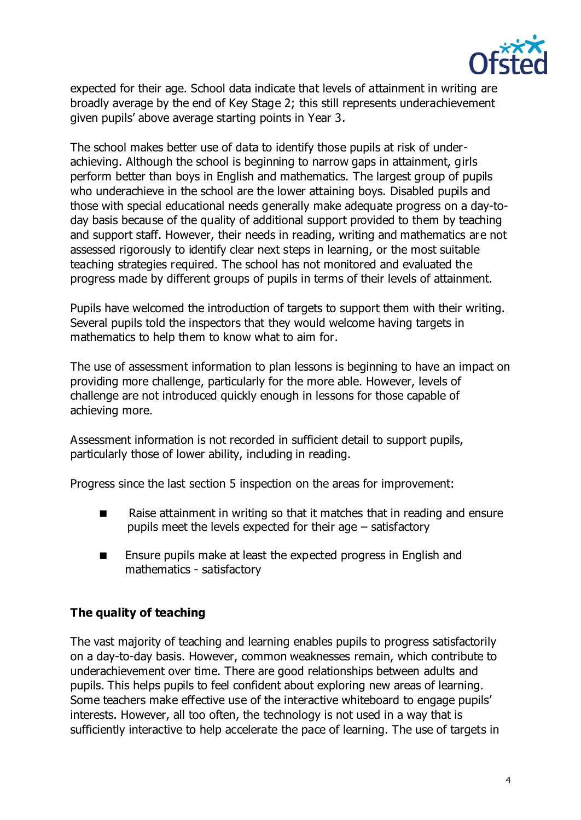

expected for their age. School data indicate that levels of attainment in writing are broadly average by the end of Key Stage 2; this still represents underachievement given pupils' above average starting points in Year 3.

The school makes better use of data to identify those pupils at risk of underachieving. Although the school is beginning to narrow gaps in attainment, girls perform better than boys in English and mathematics. The largest group of pupils who underachieve in the school are the lower attaining boys. Disabled pupils and those with special educational needs generally make adequate progress on a day-today basis because of the quality of additional support provided to them by teaching and support staff. However, their needs in reading, writing and mathematics are not assessed rigorously to identify clear next steps in learning, or the most suitable teaching strategies required. The school has not monitored and evaluated the progress made by different groups of pupils in terms of their levels of attainment.

Pupils have welcomed the introduction of targets to support them with their writing. Several pupils told the inspectors that they would welcome having targets in mathematics to help them to know what to aim for.

The use of assessment information to plan lessons is beginning to have an impact on providing more challenge, particularly for the more able. However, levels of challenge are not introduced quickly enough in lessons for those capable of achieving more.

Assessment information is not recorded in sufficient detail to support pupils, particularly those of lower ability, including in reading.

Progress since the last section 5 inspection on the areas for improvement:

- Raise attainment in writing so that it matches that in reading and ensure pupils meet the levels expected for their age – satisfactory
- **Ensure pupils make at least the expected progress in English and** mathematics - satisfactory

# **The quality of teaching**

The vast majority of teaching and learning enables pupils to progress satisfactorily on a day-to-day basis. However, common weaknesses remain, which contribute to underachievement over time. There are good relationships between adults and pupils. This helps pupils to feel confident about exploring new areas of learning. Some teachers make effective use of the interactive whiteboard to engage pupils' interests. However, all too often, the technology is not used in a way that is sufficiently interactive to help accelerate the pace of learning. The use of targets in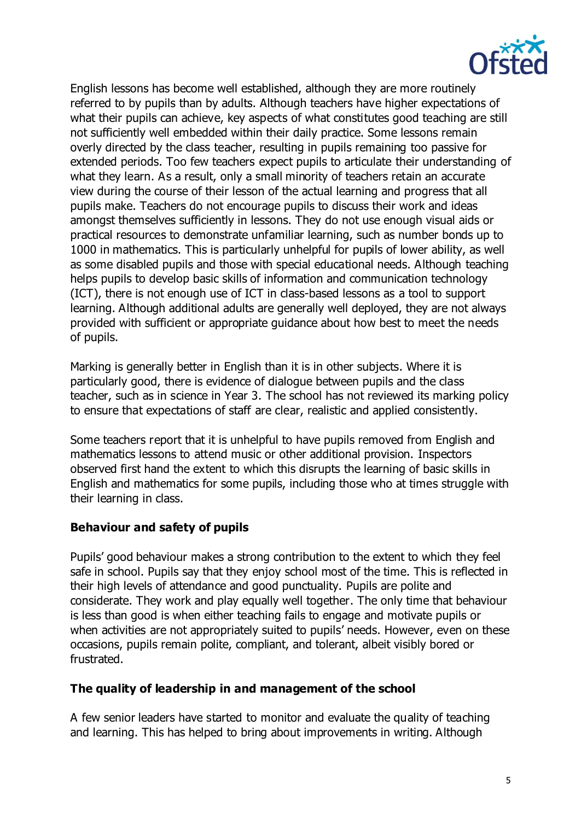

English lessons has become well established, although they are more routinely referred to by pupils than by adults. Although teachers have higher expectations of what their pupils can achieve, key aspects of what constitutes good teaching are still not sufficiently well embedded within their daily practice. Some lessons remain overly directed by the class teacher, resulting in pupils remaining too passive for extended periods. Too few teachers expect pupils to articulate their understanding of what they learn. As a result, only a small minority of teachers retain an accurate view during the course of their lesson of the actual learning and progress that all pupils make. Teachers do not encourage pupils to discuss their work and ideas amongst themselves sufficiently in lessons. They do not use enough visual aids or practical resources to demonstrate unfamiliar learning, such as number bonds up to 1000 in mathematics. This is particularly unhelpful for pupils of lower ability, as well as some disabled pupils and those with special educational needs. Although teaching helps pupils to develop basic skills of information and communication technology (ICT), there is not enough use of ICT in class-based lessons as a tool to support learning. Although additional adults are generally well deployed, they are not always provided with sufficient or appropriate guidance about how best to meet the needs of pupils.

Marking is generally better in English than it is in other subjects. Where it is particularly good, there is evidence of dialogue between pupils and the class teacher, such as in science in Year 3. The school has not reviewed its marking policy to ensure that expectations of staff are clear, realistic and applied consistently.

Some teachers report that it is unhelpful to have pupils removed from English and mathematics lessons to attend music or other additional provision. Inspectors observed first hand the extent to which this disrupts the learning of basic skills in English and mathematics for some pupils, including those who at times struggle with their learning in class.

#### **Behaviour and safety of pupils**

Pupils' good behaviour makes a strong contribution to the extent to which they feel safe in school. Pupils say that they enjoy school most of the time. This is reflected in their high levels of attendance and good punctuality. Pupils are polite and considerate. They work and play equally well together. The only time that behaviour is less than good is when either teaching fails to engage and motivate pupils or when activities are not appropriately suited to pupils' needs. However, even on these occasions, pupils remain polite, compliant, and tolerant, albeit visibly bored or frustrated.

#### **The quality of leadership in and management of the school**

A few senior leaders have started to monitor and evaluate the quality of teaching and learning. This has helped to bring about improvements in writing. Although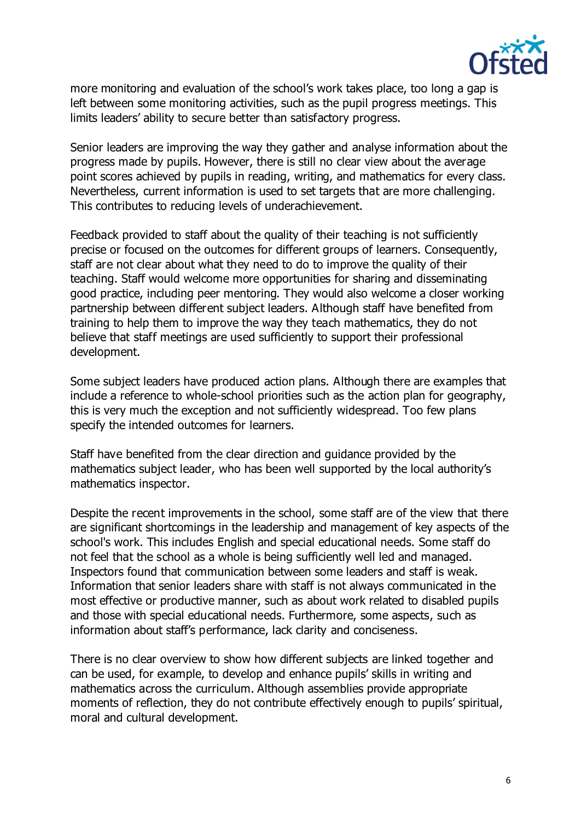

more monitoring and evaluation of the school's work takes place, too long a gap is left between some monitoring activities, such as the pupil progress meetings. This limits leaders' ability to secure better than satisfactory progress.

Senior leaders are improving the way they gather and analyse information about the progress made by pupils. However, there is still no clear view about the average point scores achieved by pupils in reading, writing, and mathematics for every class. Nevertheless, current information is used to set targets that are more challenging. This contributes to reducing levels of underachievement.

Feedback provided to staff about the quality of their teaching is not sufficiently precise or focused on the outcomes for different groups of learners. Consequently, staff are not clear about what they need to do to improve the quality of their teaching. Staff would welcome more opportunities for sharing and disseminating good practice, including peer mentoring. They would also welcome a closer working partnership between different subject leaders. Although staff have benefited from training to help them to improve the way they teach mathematics, they do not believe that staff meetings are used sufficiently to support their professional development.

Some subject leaders have produced action plans. Although there are examples that include a reference to whole-school priorities such as the action plan for geography, this is very much the exception and not sufficiently widespread. Too few plans specify the intended outcomes for learners.

Staff have benefited from the clear direction and guidance provided by the mathematics subject leader, who has been well supported by the local authority's mathematics inspector.

Despite the recent improvements in the school, some staff are of the view that there are significant shortcomings in the leadership and management of key aspects of the school's work. This includes English and special educational needs. Some staff do not feel that the school as a whole is being sufficiently well led and managed. Inspectors found that communication between some leaders and staff is weak. Information that senior leaders share with staff is not always communicated in the most effective or productive manner, such as about work related to disabled pupils and those with special educational needs. Furthermore, some aspects, such as information about staff's performance, lack clarity and conciseness.

There is no clear overview to show how different subjects are linked together and can be used, for example, to develop and enhance pupils' skills in writing and mathematics across the curriculum. Although assemblies provide appropriate moments of reflection, they do not contribute effectively enough to pupils' spiritual, moral and cultural development.